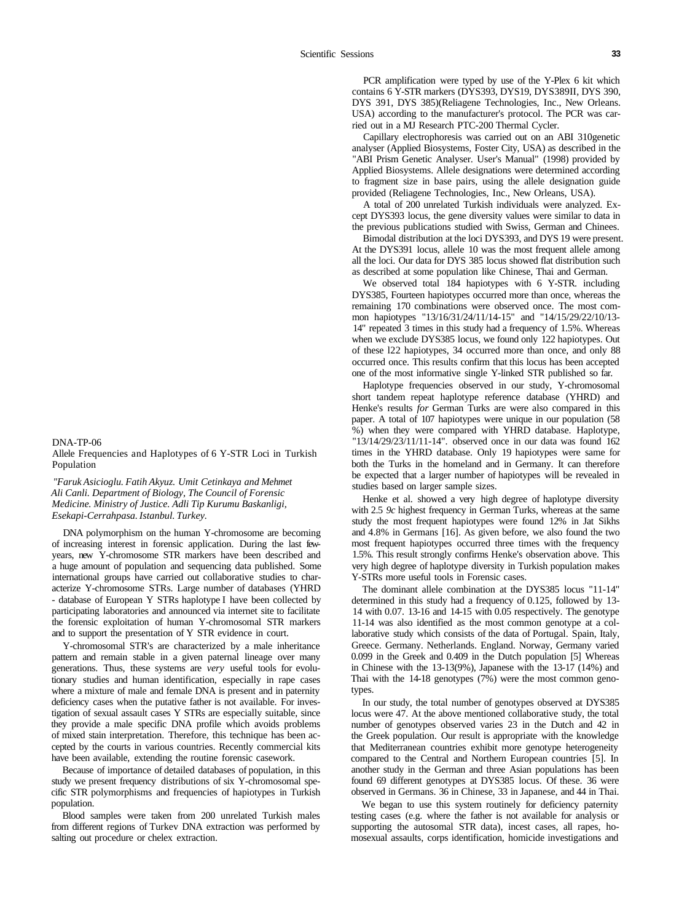DNA-TP-06

Allele Frequencies and Haplotypes of 6 Y-STR Loci in Turkish Population

*"Faruk Asicioglu. Fatih Akyuz. Umit Cetinkaya and Mehmet Ali Canli. Department of Biology, The Council of Forensic Medicine. Ministry of Justice. Adli Tip Kurumu Baskanligi, Esekapi-Cerrahpasa. Istanbul. Turkey.* 

DNA polymorphism on the human Y-chromosome are becoming of increasing interest in forensic application. During the last fewyears, new Y-chromosome STR markers have been described and a huge amount of population and sequencing data published. Some international groups have carried out collaborative studies to characterize Y-chromosome STRs. Large number of databases (YHRD - database of European Y STRs haplotype I have been collected by participating laboratories and announced via internet site to facilitate the forensic exploitation of human Y-chromosomal STR markers and to support the presentation of Y STR evidence in court.

Y-chromosomal STR's are characterized by a male inheritance pattern and remain stable in a given paternal lineage over many generations. Thus, these systems are *very* useful tools for evolutionary studies and human identification, especially in rape cases where a mixture of male and female DNA is present and in paternity deficiency cases when the putative father is not available. For investigation of sexual assault cases Y STRs are especially suitable, since they provide a male specific DNA profile which avoids problems of mixed stain interpretation. Therefore, this technique has been accepted by the courts in various countries. Recently commercial kits have been available, extending the routine forensic casework.

Because of importance of detailed databases of population, in this study we present frequency distributions of six Y-chromosomal specific STR polymorphisms and frequencies of hapiotypes in Turkish population.

Blood samples were taken from 200 unrelated Turkish males from different regions of Turkev DNA extraction was performed by salting out procedure or chelex extraction.

PCR amplification were typed by use of the Y-Plex 6 kit which contains 6 Y-STR markers (DYS393, DYS19, DYS389II, DYS 390, DYS 391, DYS 385)(Reliagene Technologies, Inc., New Orleans. USA) according to the manufacturer's protocol. The PCR was carried out in a MJ Research PTC-200 Thermal Cycler.

Capillary electrophoresis was carried out on an ABI 310genetic analyser (Applied Biosystems, Foster City, USA) as described in the "ABI Prism Genetic Analyser. User's Manual" (1998) provided by Applied Biosystems. Allele designations were determined according to fragment size in base pairs, using the allele designation guide provided (Reliagene Technologies, Inc., New Orleans, USA).

A total of 200 unrelated Turkish individuals were analyzed. Except DYS393 locus, the gene diversity values were similar to data in the previous publications studied with Swiss, German and Chinees.

Bimodal distribution at the loci DYS393, and DYS 19 were present. At the DYS391 locus, allele 10 was the most frequent allele among all the loci. Our data for DYS 385 locus showed flat distribution such as described at some population like Chinese, Thai and German.

We observed total 184 hapiotypes with 6 Y-STR, including DYS385, Fourteen hapiotypes occurred more than once, whereas the remaining 170 combinations were observed once. The most common hapiotypes "13/16/31/24/11/14-15" and "14/15/29/22/10/13- 14" repeated 3 times in this study had a frequency of 1.5%. Whereas when we exclude DYS385 locus, we found only 122 hapiotypes. Out of these l22 hapiotypes, 34 occurred more than once, and only 88 occurred once. This results confirm that this locus has been accepted one of the most informative single Y-linked STR published so far.

Haplotype frequencies observed in our study, Y-chromosomal short tandem repeat haplotype reference database (YHRD) and Henke's results *for* German Turks are were also compared in this paper. A total of 107 hapiotypes were unique in our population (58 %) when they were compared with YHRD database. Haplotype, "13/14/29/23/11/11-14". observed once in our data was found 162 times in the YHRD database. Only 19 hapiotypes were same for both the Turks in the homeland and in Germany. It can therefore be expected that a larger number of hapiotypes will be revealed in studies based on larger sample sizes.

Henke et al. showed a very high degree of haplotype diversity with 2.5 *9c* highest frequency in German Turks, whereas at the same study the most frequent hapiotypes were found 12% in Jat Sikhs and 4.8% in Germans [16]. As given before, we also found the two most frequent hapiotypes occurred three times with the frequency 1.5%. This result strongly confirms Henke's observation above. This very high degree of haplotype diversity in Turkish population makes Y-STRs more useful tools in Forensic cases.

The dominant allele combination at the DYS385 locus "11-14" determined in this study had a frequency of 0.125, followed by 13- 14 with 0.07. 13-16 and 14-15 with 0.05 respectively. The genotype 11-14 was also identified as the most common genotype at a collaborative study which consists of the data of Portugal. Spain, Italy, Greece. Germany. Netherlands. England. Norway, Germany varied 0.099 in the Greek and 0.409 in the Dutch population [5] Whereas in Chinese with the 13-13(9%), Japanese with the 13-17 (14%) and Thai with the 14-18 genotypes (7%) were the most common genotypes.

In our study, the total number of genotypes observed at DYS385 locus were 47. At the above mentioned collaborative study, the total number of genotypes observed varies 23 in the Dutch and 42 in the Greek population. Our result is appropriate with the knowledge that Mediterranean countries exhibit more genotype heterogeneity compared to the Central and Northern European countries [5]. In another study in the German and three Asian populations has been found 69 different genotypes at DYS385 locus. Of these. 36 were observed in Germans. 36 in Chinese, 33 in Japanese, and 44 in Thai.

We began to use this system routinely for deficiency paternity testing cases (e.g. where the father is not available for analysis or supporting the autosomal STR data), incest cases, all rapes, homosexual assaults, corps identification, homicide investigations and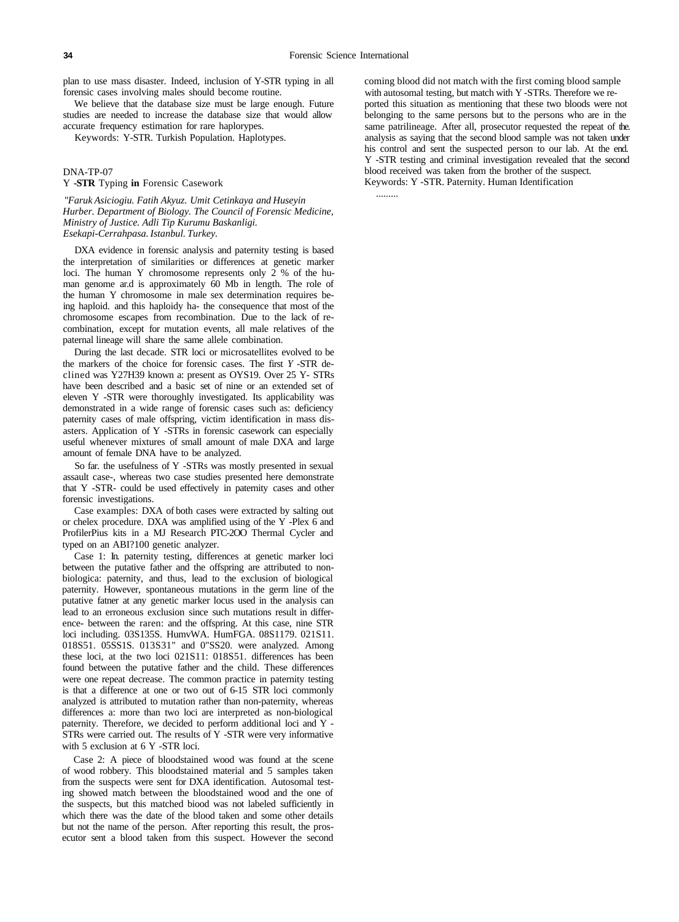.........

plan to use mass disaster. Indeed, inclusion of Y-STR typing in all forensic cases involving males should become routine.

We believe that the database size must be large enough. Future studies are needed to increase the database size that would allow accurate frequency estimation for rare haplorypes.

Keywords: Y-STR. Turkish Population. Haplotypes.

## DNA-TP-07

## Y **-STR** Typing **in** Forensic Casework

*"Faruk Asiciogiu. Fatih Akyuz. Umit Cetinkaya and Huseyin Hurber. Department of Biology. The Council of Forensic Medicine, Ministry of Justice. Adli Tip Kurumu Baskanligi. Esekapi-Cerrahpasa. Istanbul. Turkey.* 

DXA evidence in forensic analysis and paternity testing is based the interpretation of similarities or differences at genetic marker loci. The human Y chromosome represents only 2 % of the human genome ar.d is approximately 60 Mb in length. The role of the human Y chromosome in male sex determination requires being haploid. and this haploidy ha- the consequence that most of the chromosome escapes from recombination. Due to the lack of recombination, except for mutation events, all male relatives of the paternal lineage will share the same allele combination.

During the last decade. STR loci or microsatellites evolved to be the markers of the choice for forensic cases. The first *Y* -STR declined was Y27H39 known a: present as OYS19. Over 25 Y- STRs have been described and a basic set of nine or an extended set of eleven Y -STR were thoroughly investigated. Its applicability was demonstrated in a wide range of forensic cases such as: deficiency paternity cases of male offspring, victim identification in mass disasters. Application of Y -STRs in forensic casework can especially useful whenever mixtures of small amount of male DXA and large amount of female DNA have to be analyzed.

So far. the usefulness of Y -STRs was mostly presented in sexual assault case-, whereas two case studies presented here demonstrate that Y -STR- could be used effectively in paternity cases and other forensic investigations.

Case examples: DXA of both cases were extracted by salting out or chelex procedure. DXA was amplified using of the Y -Plex 6 and ProfilerPius kits in a MJ Research PTC-2OO Thermal Cycler and typed on an ABI?100 genetic analyzer.

Case 1: In. paternity testing, differences at genetic marker loci between the putative father and the offspring are attributed to nonbiologica: paternity, and thus, lead to the exclusion of biological paternity. However, spontaneous mutations in the germ line of the putative fatner at any genetic marker locus used in the analysis can lead to an erroneous exclusion since such mutations result in difference- between the raren: and the offspring. At this case, nine STR loci including. 03S135S. HumvWA. HumFGA. 08S1179. 021S11. 018S51. 05SS1S. 013S31" and 0"SS20. were analyzed. Among these loci, at the two loci 021S11: 018S51. differences has been found between the putative father and the child. These differences were one repeat decrease. The common practice in paternity testing is that a difference at one or two out of 6-15 STR loci commonly analyzed is attributed to mutation rather than non-paternity, whereas differences a: more than two loci are interpreted as non-biological paternity. Therefore, we decided to perform additional loci and Y - STRs were carried out. The results of Y -STR were very informative with 5 exclusion at 6 Y -STR loci.

Case 2: A piece of bloodstained wood was found at the scene of wood robbery. This bloodstained material and 5 samples taken from the suspects were sent for DXA identification. Autosomal testing showed match between the bloodstained wood and the one of the suspects, but this matched biood was not labeled sufficiently in which there was the date of the blood taken and some other details but not the name of the person. After reporting this result, the prosecutor sent a blood taken from this suspect. However the second coming blood did not match with the first coming blood sample with autosomal testing, but match with Y -STRs. Therefore we reported this situation as mentioning that these two bloods were not belonging to the same persons but to the persons who are in the same patrilineage. After all, prosecutor requested the repeat of the. analysis as saying that the second blood sample was not taken under his control and sent the suspected person to our lab. At the end. Y -STR testing and criminal investigation revealed that the second blood received was taken from the brother of the suspect. Keywords: Y -STR. Paternity. Human Identification